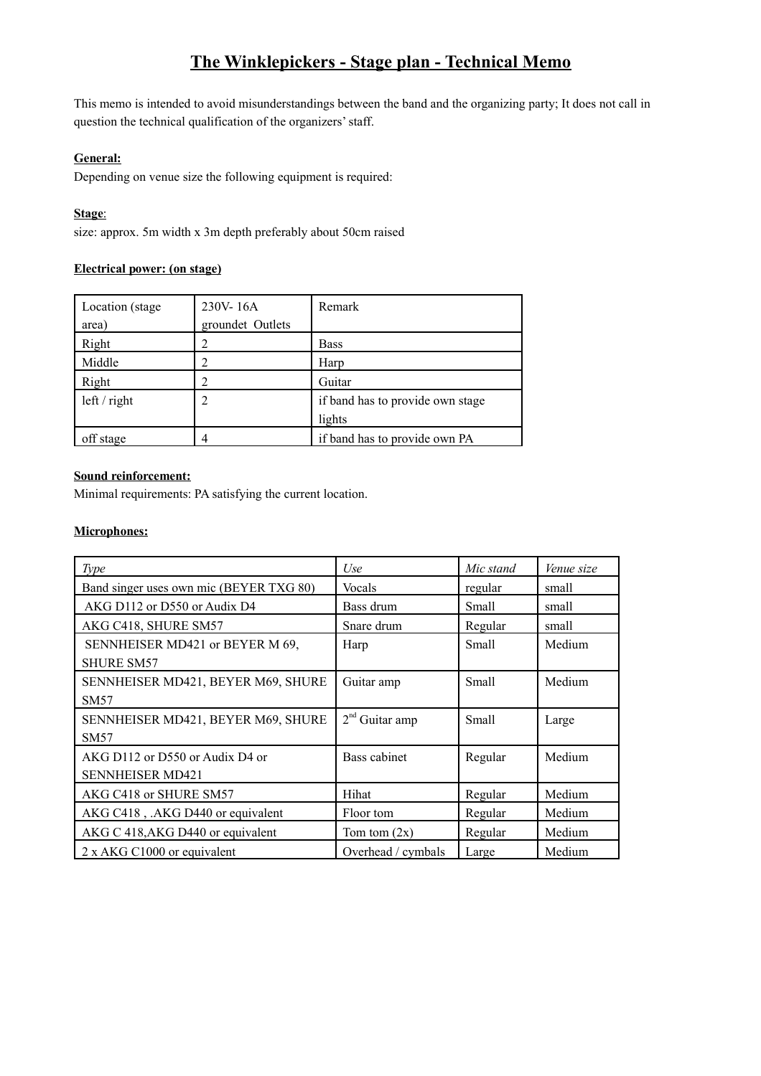## **The Winklepickers - Stage plan - Technical Memo**

This memo is intended to avoid misunderstandings between the band and the organizing party; It does not call in question the technical qualification of the organizers' staff.

#### **General:**

Depending on venue size the following equipment is required:

### **Stage**:

size: approx. 5m width x 3m depth preferably about 50cm raised

### **Electrical power: (on stage)**

| Location (stage | 230V-16A         | Remark                           |
|-----------------|------------------|----------------------------------|
| area)           | groundet Outlets |                                  |
| Right           |                  | <b>Bass</b>                      |
| Middle          |                  | Harp                             |
| Right           | 2                | Guitar                           |
| left / right    | 2                | if band has to provide own stage |
|                 |                  | lights                           |
| off stage       |                  | if band has to provide own PA    |

## **Sound reinforcement:**

Minimal requirements: PA satisfying the current location.

### **Microphones:**

| Type                                    | Use                | Mic stand | Venue size |
|-----------------------------------------|--------------------|-----------|------------|
| Band singer uses own mic (BEYER TXG 80) | Vocals             | regular   | small      |
| AKG D112 or D550 or Audix D4            | Bass drum          | Small     | small      |
| AKG C418, SHURE SM57                    | Snare drum         | Regular   | small      |
| SENNHEISER MD421 or BEYER M 69,         | Harp               | Small     | Medium     |
| <b>SHURE SM57</b>                       |                    |           |            |
| SENNHEISER MD421, BEYER M69, SHURE      | Guitar amp         | Small     | Medium     |
| SM57                                    |                    |           |            |
| SENNHEISER MD421, BEYER M69, SHURE      | $2nd$ Guitar amp   | Small     | Large      |
| SM <sub>57</sub>                        |                    |           |            |
| AKG D112 or D550 or Audix D4 or         | Bass cabinet       | Regular   | Medium     |
| <b>SENNHEISER MD421</b>                 |                    |           |            |
| AKG C418 or SHURE SM57                  | Hihat              | Regular   | Medium     |
| AKG C418, .AKG D440 or equivalent       | Floor tom          | Regular   | Medium     |
| AKG C 418, AKG D440 or equivalent       | Tom tom $(2x)$     | Regular   | Medium     |
| 2 x AKG C1000 or equivalent             | Overhead / cymbals | Large     | Medium     |